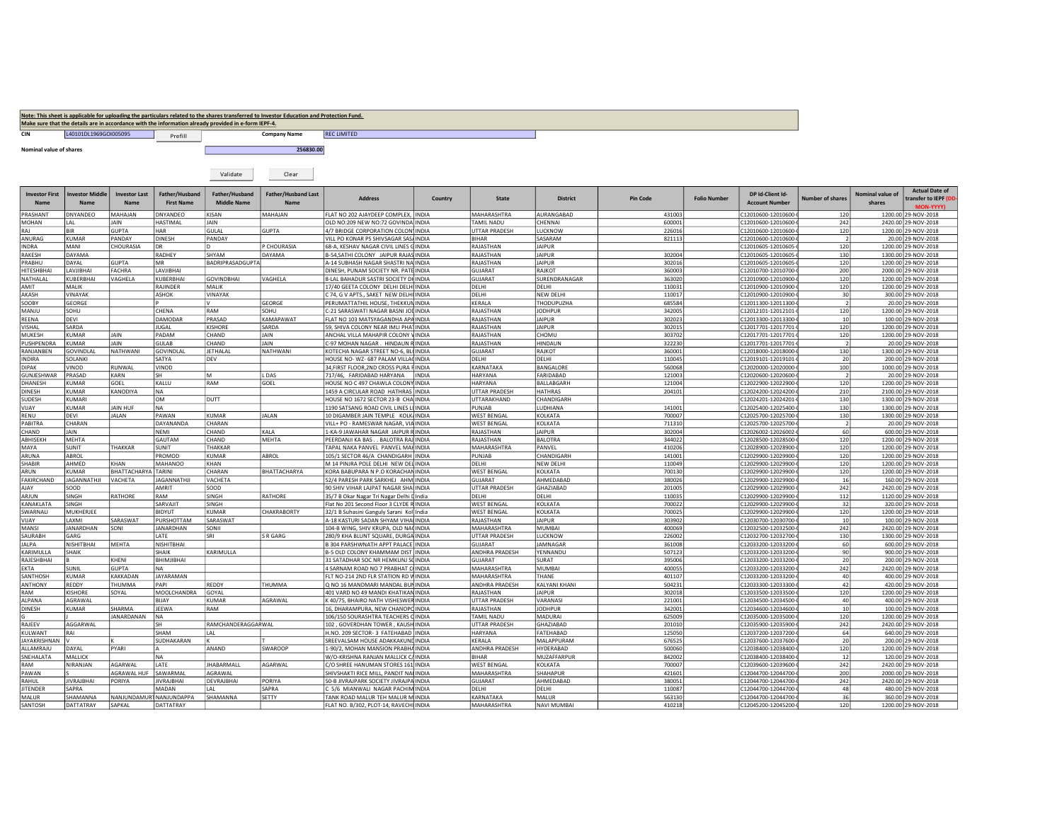|                                |                                       |                                     |                                     |                                                                                                      | Note: This sheet is applicable for uploading the particulars related to the shares transferred to Investor Education and Protection Fund. |                                                                                 |              |                                            |                          |                  |                     |                                             |                          |                            |                                                |
|--------------------------------|---------------------------------------|-------------------------------------|-------------------------------------|------------------------------------------------------------------------------------------------------|-------------------------------------------------------------------------------------------------------------------------------------------|---------------------------------------------------------------------------------|--------------|--------------------------------------------|--------------------------|------------------|---------------------|---------------------------------------------|--------------------------|----------------------------|------------------------------------------------|
|                                |                                       |                                     |                                     | Make sure that the details are in accordance with the information already provided in e-form IEPF-4. |                                                                                                                                           |                                                                                 |              |                                            |                          |                  |                     |                                             |                          |                            |                                                |
| CIN                            | L40101DL1969GOI005095                 |                                     | Prefill                             |                                                                                                      | <b>Company Name</b>                                                                                                                       | <b>REC LIMITED</b>                                                              |              |                                            |                          |                  |                     |                                             |                          |                            |                                                |
| <b>Nominal value of shares</b> |                                       |                                     |                                     |                                                                                                      | 256830.00                                                                                                                                 |                                                                                 |              |                                            |                          |                  |                     |                                             |                          |                            |                                                |
|                                |                                       |                                     |                                     | Validate                                                                                             | Clear                                                                                                                                     |                                                                                 |              |                                            |                          |                  |                     |                                             |                          |                            |                                                |
| <b>Investor First</b><br>Name  | <b>Investor Middle</b><br><b>Name</b> | <b>Investor Last</b><br><b>Name</b> | Father/Husband<br><b>First Name</b> | Father/Husband<br>Middle Name                                                                        | <b>Father/Husband Last</b><br>Name                                                                                                        | <b>Address</b>                                                                  | Country      | <b>State</b>                               | <b>District</b>          | <b>Pin Code</b>  | <b>Folio Number</b> | DP Id-Client Id-<br><b>Account Number</b>   | Number of shares         | Nominal value of<br>shares | <b>Actual Date of</b><br>transfer to IEPF (DD- |
|                                |                                       |                                     |                                     |                                                                                                      |                                                                                                                                           |                                                                                 |              |                                            |                          |                  |                     |                                             |                          |                            | <b>MON-YYYY)</b>                               |
| PRASHANT                       | DNYANDEO                              | MAHAJAN<br><b>JAIN</b>              | DNYANDEO                            | <b>KISAN</b>                                                                                         | MAHAJAN                                                                                                                                   | ELAT NO 202 AJAYDEEP COMPLEX, INDIA                                             |              | MAHARASHTRA<br>TAMII NADU                  | AURANGABAD<br>CHENNAL    | 431003           |                     | C12010600-12010600-                         | 120                      |                            | 1200.00 29-NOV-2018                            |
| MOHAN<br>RAJ                   | LAL<br><b>BIR</b>                     | <b>GUPTA</b>                        | HASTIMAL<br>HAR                     | <b>JAIN</b><br>GULAL                                                                                 | <b>GUPTA</b>                                                                                                                              | OLD NO:209 NEW NO:72 GOVINDA INDIA<br>4/7 BRIDGE CORPORATION COLON' INDIA       |              | <b>UTTAR PRADESH</b>                       | LUCKNOW                  | 600001<br>226016 |                     | C12010600-12010600-<br>C12010600-12010600-  | 242<br>120               |                            | 2420.00 29-NOV-2018<br>1200.00 29-NOV-2018     |
| ANURAG                         | KUMAR                                 | PANDAY                              | <b>DINESH</b>                       | PANDAY                                                                                               |                                                                                                                                           | VILL PO KONAR PS SHIVSAGAR SAS/ INDIA                                           |              | BIHAR                                      | SASARAM                  | 821113           |                     | C12010600-12010600-                         |                          |                            | 20.00 29-NOV-2018                              |
| <b>INDRA</b>                   | MANI                                  | CHOURASIA                           | <b>DR</b>                           |                                                                                                      | P CHOURASIA                                                                                                                               | 68-A. KESHAV NAGAR CIVIL LINES GINDIA                                           |              | RAJASTHAN                                  | <b>JAIPUR</b>            |                  |                     | C12010605-12010605-                         | 120                      |                            | 1200.00 29-NOV-2018                            |
| RAKESH                         | DAYAMA                                |                                     | RADHEY                              | SHYAM                                                                                                | DAYAMA                                                                                                                                    | <b>B-54.SATHI COLONY JAIPUR RAJAS INDIA</b>                                     |              | RAJASTHAN                                  | JAIPUR                   | 302004           |                     | C12010605-12010605-                         | 130                      |                            | 1300.00 29-NOV-2018                            |
| PRABHU                         | DAYAL                                 | GUPTA                               | <b>MR</b>                           | BADRIPRASADGUPTA                                                                                     |                                                                                                                                           | A-14 SUBHASH NAGAR SHASTRI NA INDIA                                             |              | RAJASTHAN                                  | <b>JAIPUR</b>            | 302016           |                     | C12010605-12010605-                         | 120                      |                            | 1200.00 29-NOV-2018                            |
| HITESHBHAI                     | LAVJIBHAI                             | FACHRA                              | LAVJIBHAI                           |                                                                                                      |                                                                                                                                           | DINESH, PUNAM SOCIETY NR. PATE INDIA                                            |              | GUJARAT                                    | RAIKOT                   | 360003           |                     | C12010700-12010700-                         | 200                      |                            | 2000.00 29-NOV-2018                            |
| NATHALAL<br>AMIT               | KUBERBHAI<br>MALIK                    | VAGHELA                             | KUBERBHAI<br>RAJINDER               | <b>GOVINDBHAI</b><br>MALIK                                                                           | VAGHELA                                                                                                                                   | 8-LAL BAHADUR SASTRI SOCIETY DI INDIA<br>17/40 GEETA COLONY DELHI DELHI INDIA   |              | GUJARAT<br>DELHI                           | SURENDRANAGAR<br>DELHI   | 363020<br>110031 |                     | C12010900-12010900-<br>C12010900-12010900-  | 120<br>120               |                            | 1200.00 29-NOV-2018<br>1200.00 29-NOV-2018     |
| AKASH                          | VINAYAK                               |                                     | ASHOK                               | VINAYAK                                                                                              |                                                                                                                                           | C 74, G V APTS., SAKET NEW DELHI INDIA                                          |              | DELHI                                      | NEW DELHI                | 110017           |                     | C12010900-12010900-                         | 30                       |                            | 300.00 29-NOV-2018                             |
| SOOBY                          | GEORGE                                |                                     |                                     |                                                                                                      | GEORGE                                                                                                                                    | PERUMATTATHIL HOUSE, THEKKUN INDIA                                              |              | KERALA                                     | <b>THODUPUZHA</b>        | 685584           |                     | C12011300-12011300-                         | $\overline{\phantom{a}}$ |                            | 20.00 29-NOV-2018                              |
| MANJU                          | <b>SOHU</b>                           |                                     | CHENA                               | RAM                                                                                                  | SOHU                                                                                                                                      | C-21 SARASWATI NAGAR BASNI JOI INDIA                                            |              | RAJASTHAN                                  | <b>JODHPUR</b>           | 342005           |                     | C12012101-12012101                          | 120                      |                            | 1200.00 29-NOV-2018                            |
| REENA                          | DEVI                                  |                                     | DAMODAR                             | PRASAD                                                                                               | KAMAPAWAT                                                                                                                                 | FLAT NO 103 MATSYAGANDHA APA INDIA                                              |              | RAJASTHAN                                  | JAIPUR                   | 302023           |                     | C12013300-12013300-                         | 10 <sup>1</sup>          |                            | 100.00 29-NOV-2018                             |
| VISHAL                         | SARDA                                 |                                     | <b>JUGAL</b>                        | <b>KISHORE</b>                                                                                       | SARDA                                                                                                                                     | 59, SHIVA COLONY NEAR IMLI PHATINDIA                                            |              | RAJASTHAN                                  | <b>JAIPUR</b>            | 302015           |                     | C12017701-12017701-                         | 120                      |                            | 1200.00 29-NOV-2018                            |
| MUKESH<br>PUSHPENDRA           | <b>KUMAR</b><br>KUMAR                 | JAIN<br>JAIN                        | PADAM<br>GULAB                      | CHAND<br>CHAND                                                                                       | JAIN<br>JAIN                                                                                                                              | ANCHAL VILLA MAHAPIR COLONY VINDIA<br>C-97 MOHAN NAGAR. HINDAUN RINDIA          |              | RAJASTHAN<br>RAJASTHAN                     | CHOMU<br>HINDAUN         | 303702<br>322230 |                     | C12017701-12017701-<br>C12017701-12017701-  | 120                      |                            | 1200.00 29-NOV-2018<br>20.00 29-NOV-2018       |
| RANJANBEN                      | GOVINDLAL                             | NATHWANI                            | GOVINDLAL                           | <b>JETHALAL</b>                                                                                      | NATHWANI                                                                                                                                  | KOTECHA NAGAR STREET NO-6, BL INDIA                                             |              | <b>GUJARAT</b>                             | RAJKOT                   | 360001           |                     | C12018000-12018000-                         | 130                      |                            | 1300.00 29-NOV-2018                            |
| <b>INDIRA</b>                  | SOLANKI                               |                                     | SATYA                               | DEV                                                                                                  |                                                                                                                                           | HOUSE NO-WZ-687 PALAM VILLA(INDIA                                               |              | DELHI                                      | DELHI                    | 110045           |                     | C12019101-12019101-                         | 20                       |                            | 200.00 29-NOV-2018                             |
| DIPAK                          | <b>CONIV</b>                          | RUNWAL                              | <b>QONIV</b>                        |                                                                                                      |                                                                                                                                           | 34.FIRST FLOOR.2ND CROSS PURA FINDIA                                            |              | KARNATAKA                                  | <b>BANGALORE</b>         | 560068           |                     | C12020000-12020000                          | 100                      |                            | 1000.00 29-NOV-2018                            |
| GUNJESHWAR                     | PRASAD                                | KARN                                | SΗ                                  | lм                                                                                                   | LDAS                                                                                                                                      | 717/46. FARIDABAD HARYANA                                                       | <b>INDIA</b> | HARYANA                                    | FARIDABAD                | 121003           |                     | C12020600-12020600-                         |                          |                            | 20.00 29-NOV-2018                              |
| DHANESH                        | <b>CLIMAR</b>                         | GOEL                                | KALLU                               | RAM                                                                                                  | GOEL                                                                                                                                      | HOUSE NO C 497 CHAWLA COLONY INDIA                                              |              | <b>HARYANA</b>                             | <b>BALLABGARH</b>        | 121004           |                     | C12022900-12022900-                         | 120                      |                            | 1200.00 29-NOV-2018                            |
| DINESH<br>SUDESH               | <b>UMAR</b><br>KUMARI                 | KANODIYA                            | NA<br>OM                            | DUTT                                                                                                 |                                                                                                                                           | 1459 A CIRCULAR ROAD HATHRAS INDIA<br>HOUSE NO 1672 SECTOR 23-B CHA INDIA       |              | <b>JTTAR PRADESH</b><br><b>JTTARAKHAND</b> | HATHRAS<br>CHANDIGARH    | 204101           |                     | C12024200-12024200-<br>C12024201-12024201-  | 210<br>130               |                            | 2100.00 29-NOV-2018<br>1300.00 29-NOV-2018     |
| VIJAY                          | KUMAR                                 | <b>JAIN HUF</b>                     | <b>NA</b>                           |                                                                                                      |                                                                                                                                           | 1190 SATSANG ROAD CIVIL LINES LI INDIA                                          |              | UNJAB                                      | LUDHIANA                 | 141001           |                     | C12025400-12025400-                         | 130                      |                            | 1300.00 29-NOV-2018                            |
| RENU                           | DEVI                                  | <b>JALAN</b>                        | PAWAN                               | <b>CUMAR</b>                                                                                         | <b>JAI AN</b>                                                                                                                             | 10 DIGAMBER JAIN TEMPLE KOLK INDIA                                              |              | <b>WEST BENGAL</b>                         | KOLKATA                  | 700007           |                     | C12025700-12025700-                         | 130                      |                            | 1300.00 29-NOV-2018                            |
| PABITRA                        | CHARAN                                |                                     | DAYANANDA                           | CHARAN                                                                                               |                                                                                                                                           | VILL+ PO - RAMESWAR NAGAR. VIA INDIA                                            |              | <b>WEST BENGAL</b>                         | KOLKATA                  | 711310           |                     | C12025700-12025700-                         | $\mathcal{P}$            |                            | 20.00 29-NOV-2018                              |
| CHAND                          | <b>JAIN</b>                           |                                     | <b>NFMI</b>                         | CHAND                                                                                                | KAI A                                                                                                                                     | 1-KA-9 JAWAHAR NAGAR JAIPUR RIINDIA                                             |              | RAJASTHAN                                  | <b>JAIPUR</b>            | 302004           |                     | C12026002-12026002-                         | 60                       |                            | 600.00 29-NOV-2018                             |
| <b>ABHISFKH</b>                | MFHTA                                 |                                     | <b>GAUTAM</b>                       | CHAND                                                                                                | <b>MEHTA</b>                                                                                                                              | PEERDANJI KA BAS BALOTRA RAJ INDIA                                              |              | RAIASTHAN                                  | <b>BAI OTRA</b>          | 344022           |                     | C12028500-12028500-                         | 120                      |                            | 1200.00 29-NOV-2018                            |
| MAYA                           | SUNIT                                 | THAKKAR                             | SUNIT<br>PROMOD                     | <b><i>THAKKAR</i></b>                                                                                |                                                                                                                                           | <b>TAPAL NAKA PANVEL PANVEL MAH INDIA</b>                                       |              | MAHARASHTRA                                | PANVEL                   | 410206           |                     | C12028900-12028900-                         | 120                      |                            | 1200.00 29-NOV-2018                            |
| ARUNA<br>SHABIR                | ABROL<br><b>AHMFC</b>                 | KHAN                                | MAHANOO                             | KUMAR<br>KHAN                                                                                        | ABROL                                                                                                                                     | 105/1 SECTOR 46/A CHANDIGARH INDIA<br>M 14 PINJRA POLE DELHI NEW DEL INDIA      |              | PUNIAR<br>DFI HI                           | CHANDIGARH<br>NEW DELHI  | 141001<br>110049 |                     | C12029900-12029900-<br>C12029900-12029900-  | 120<br>120               |                            | 1200.00 29-NOV-2018<br>1200.00 29-NOV-2018     |
| ARUN                           | KUMAR                                 | BHATTACHARYA TARINI                 |                                     | CHARAN                                                                                               | BHATTACHARYA                                                                                                                              | KORA BABUPARA N P.O KORACHAN INDIA                                              |              | <b>WEST BENGAL</b>                         | <b>KOLKATA</b>           | 700130           |                     | C12029900-12029900-                         | 120                      |                            | 1200.00 29-NOV-2018                            |
| FAKIRCHAND                     | JAGANNATHJI                           | VACHETA                             | <b>JAGANNATHJI</b>                  | VACHETA                                                                                              |                                                                                                                                           | 52/4 PARESH PARK SARKHEJ AHM INDIA                                              |              | <b>GUJARAT</b>                             | AHMEDABAD                | 380026           |                     | C12029900-12029900-                         | 16                       |                            | 160.00 29-NOV-2018                             |
| AJAY                           | SOOD                                  |                                     | AMRIT                               | SOOD                                                                                                 |                                                                                                                                           | 90 SHIV VIHAR LAJPAT NAGAR SHA INDIA                                            |              | UTTAR PRADESH                              | GHAZIABAD                | 201005           |                     | C12029900-12029900-                         | 242                      |                            | 2420.00 29-NOV-2018                            |
| ARJUN                          | SINGH                                 | <b>RATHORF</b>                      | RAM                                 | SINGH                                                                                                | <b>RATHORF</b>                                                                                                                            | 35/7 B Okar Nagar Tri Nagar Delhi I India                                       |              | DELHL                                      | DELHI                    | 110035           |                     | C12029900-12029900-                         | 112                      |                            | 1120.00 29-NOV-2018                            |
| KANAKLATA                      | SINGH                                 |                                     | SARVAJIT                            | SINGH                                                                                                |                                                                                                                                           | Flat No 201 Second Floor 3 CLYDE R INDIA                                        |              | <b>WEST BENGAL</b>                         | KOLKATA                  | 700022           |                     | C12029900-12029900-                         | 32                       |                            | 320.00 29-NOV-2018                             |
| SWARNALI<br>YIJAY              | MUKHERJEE<br>LAXMI                    | SARASWAT                            | BIDYUT<br>PURSHOTTAM                | KUMAR<br>SARASWAT                                                                                    | CHAKRABORTY                                                                                                                               | 32/1 B Suhasini Ganguly Sarani Kol India<br>A-18 KASTURI SADAN SHYAM VIHA INDIA |              | <b>WEST BENGAL</b><br>RAJASTHAN            | KOLKATA<br><b>JAIPUR</b> | 700025<br>303902 |                     | C12029900-12029900-<br>C12030700-12030700-  | 120<br>10 <sup>1</sup>   |                            | 1200.00 29-NOV-2018<br>100.00 29-NOV-2018      |
| MANSI                          | <b>JANARDHAN</b>                      | SONI                                | JANARDHAN                           | SONII                                                                                                |                                                                                                                                           | 104-B WING, SHIV KRUPA, OLD NA(INDIA                                            |              | MAHARASHTRA                                | MUMBAI                   | 400069           |                     | C12032500-12032500-                         | 242                      |                            | 2420.00 29-NOV-2018                            |
| SAURABH                        | GARG                                  |                                     | LATE                                | SRI                                                                                                  | S R GARG                                                                                                                                  | 280/9 KHA BLUNT SQUARE, DURGA INDIA                                             |              | <b>UTTAR PRADESH</b>                       | LUCKNOW                  | 226002           |                     | C12032700-12032700-                         | 130                      |                            | 1300.00 29-NOV-2018                            |
| <b>JAIPA</b>                   | NISHITBHAI                            | MEHTA                               | NISHITBHAI                          |                                                                                                      |                                                                                                                                           | B 304 PARSHWNATH APPT PALACE INDIA                                              |              | GUIARAT                                    | JAMNAGAR                 | 361008           |                     | C12033200-12033200-                         | 60                       |                            | 600.00 29-NOV-2018                             |
| KARIMULLA                      | SHAIK                                 |                                     | SHAIK                               | KARIMULLA                                                                                            |                                                                                                                                           | B-5 OLD COLONY KHAMMAM DIST INDIA                                               |              | ANDHRA PRADESH                             | YENNANDU                 | 507123           |                     | C12033200-12033200-                         | 90                       |                            | 900.00 29-NOV-2018                             |
| RAJESHBHAI                     |                                       | KHENI                               | BHIMJIBHAI                          |                                                                                                      |                                                                                                                                           | 31 SATADHAR SOC NR HEMKUNJ S(INDIA                                              |              | <b>GUJARAT</b>                             | SURAT                    | 395006           |                     | C12033200-12033200-                         | 20                       |                            | 200.00 29-NOV-2018                             |
| EKTA<br>SANTHOSH               | SUNIL<br><b>KUMAR</b>                 | <b>GUPTA</b><br>KAKKADAN            | NA<br><b>JAYARAMAN</b>              |                                                                                                      |                                                                                                                                           | SARNAM ROAD NO 7 PRABHAT CINDIA<br>ELT NO-214 2ND FLR STATION RD V INDIA        |              | MAHARASHTRA<br>MAHARASHTRA                 | <b>MUMBAI</b><br>THANE   | 400055<br>401107 |                     | C12033200-12033200-<br>C12033200-12033200-  | 242<br>40                |                            | 2420.00 29-NOV-2018                            |
| ANTHONY                        | REDDY                                 | <b>THUMMA</b>                       | PAPI                                | <b>REDDY</b>                                                                                         | THUMMA                                                                                                                                    | Q NO 16 MANDMARI MANDAL BUNINDIA                                                |              | <b>ANDHRA PRADESH</b>                      | KALYANI KHANI            | 504231           |                     | C12033300-12033300-                         | 42                       |                            | 400.00 29-NOV-2018<br>420.00 29-NOV-2018       |
| RAM                            | <b>KISHORF</b>                        | SOYAL                               | MOOLCHANDRA                         | GOYAL                                                                                                |                                                                                                                                           | 401 VARD NO 49 MANDI KHATIKAN INDIA                                             |              | RAJASTHAN                                  | <b>JAIPUR</b>            | 302018           |                     | C12033500-12033500-                         | 120                      |                            | 1200.00 29-NOV-2018                            |
| AI PANA                        | AGRAWAL                               |                                     | BIJAY                               | <b>KUMAR</b>                                                                                         | AGRAWAL                                                                                                                                   | K 40/75, BHAIRO NATH VISHESWER INDIA                                            |              | <b>UTTAR PRADESH</b>                       | VARANASI                 | 221001           |                     | C12034500-12034500-                         | 40                       |                            | 400.00 29-NOV-2018                             |
| DINESH                         | <b>KUMAR</b>                          | SHARMA                              | JEEWA                               | RAM                                                                                                  |                                                                                                                                           | 16, DHARAMPURA, NEW CHANOPC INDIA                                               |              | RAJASTHAN                                  | <b>JODHPUR</b>           | 342001           |                     | C12034600-12034600-                         | 10 <sup>1</sup>          |                            | 100.00 29-NOV-2018                             |
|                                |                                       | <b>JANARDANAN</b>                   | NA                                  |                                                                                                      |                                                                                                                                           | 106/150 SOURASHTRA TEACHERS CINDIA                                              |              | TAMIL NADU                                 | MADURAI                  | 625009           |                     | C12035000-12035000-                         | 120                      |                            | 1200.00 29-NOV-2018                            |
| RAJEEV                         | AGGARWAL                              |                                     | <b>SH</b>                           | RAMCHANDERAGGARWAL                                                                                   |                                                                                                                                           | 102, GOVERDHAN TOWER, KAUSH INDIA                                               |              | UTTAR PRADESH                              | GHAZIABAD                | 201010           |                     | C12035900-12035900-                         | 242                      |                            | 2420.00 29-NOV-2018                            |
| KULWANT<br><b>JAYAKRISHNAN</b> | RAI                                   |                                     | SHAM<br>SUDHAKARAN                  | I AI                                                                                                 |                                                                                                                                           | H.NO. 209 SECTOR- 3 FATEHABAD INDIA<br>SREEVALSAM HOUSE ADAKKAKUNI INDIA        |              | <b>HARYANA</b><br>KERALA                   | FATEHABAD<br>MALAPPURAM  | 125050<br>676525 |                     | C12037200-12037200-<br>C12037600-12037600-  | 64<br>20                 |                            | 640.00 29-NOV-2018<br>200.00 29-NOV-2018       |
| ALLAMRAJU                      | DAYAL                                 | PYARI                               | ١A                                  | ANAND                                                                                                | SWAROOP                                                                                                                                   | 1-90/2, MOHAN MANSION PRABHA INDIA                                              |              | <b>ANDHRA PRADESH</b>                      | HYDERABAD                | 500060           |                     | C12038400-12038400-                         | 120                      |                            | 1200.00 29-NOV-2018                            |
| SNEHALATA                      | MALLICK                               |                                     | <b>NA</b>                           |                                                                                                      |                                                                                                                                           | W/O-KRISHNA RANJAN MALLICK C/ INDIA                                             |              | BIHAR                                      | MUZAFFARPUR              | 842002           |                     | C12038400-12038400-                         | 12                       |                            | 120.00 29-NOV-2018                             |
| RAM                            | NIRANJAN                              | AGARWAL                             | LATE                                | <b>JHABARMALL</b>                                                                                    | AGARWAL                                                                                                                                   | C/O SHREE HANUMAN STORES 161 INDIA                                              |              | <b>WEST BENGAL</b>                         | KOLKATA                  | 700007           |                     | C12039600-12039600-                         | 242                      |                            | 2420.00 29-NOV-2018                            |
| PAWAN                          |                                       | AGRAWAL HUF                         | SAWARMAL                            | AGRAWAL                                                                                              |                                                                                                                                           | SHIVSHAKTI RICE MILL, PANDIT NAI INDIA                                          |              | MAHARASHTRA                                | SHAHAPUR                 | 421601           |                     | C12044700-12044700-                         | 200                      |                            | 2000.00 29-NOV-2018                            |
| RAHUL                          | <b>JIVRAJBHAI</b>                     | PORIYA                              | <b>JIVRAJBHAI</b>                   | <b>DEVRAJBHAI</b>                                                                                    | PORIYA                                                                                                                                    | 50-B JIVRAJPARK SOCIETY JIVRAJPA INDIA                                          |              | <b>GUJARAT</b>                             | AHMEDABAD                | 380051           |                     | C12044700-12044700-                         | 242                      |                            | 2420.00 29-NOV-2018                            |
| <b>JITENDER</b>                | SAPRA                                 |                                     | MADAN                               | LAL                                                                                                  | SAPRA<br>SFTTY                                                                                                                            | C 5/6 MIANWALI NAGAR PACHIM INDIA                                               |              | DELHI                                      | DELHI                    | 110087           |                     | C12044700-12044700-                         | 48                       |                            | 480.00 29-NOV-2018                             |
| MALUR<br>SANTOSH               | SHAMANNA<br>DATTATRAY                 | NANJUNDAMURT NANJUNDAPPA<br>SAPKAL  | DATTATRAY                           | SHAMANNA                                                                                             |                                                                                                                                           | TANK ROAD MALUR TEH MALUR M INDIA<br>FLAT NO. B/302, PLOT-14, RAVECHI INDIA     |              | KARNATAKA<br>MAHARASHTRA                   | MALUR<br>NAVI MUMBAI     | 563130<br>410218 |                     | C12044700-12044700-<br>C12045200-12045200-0 | 36<br>120                |                            | 360.00 29-NOV-2018<br>1200.00 29-NOV-2018      |
|                                |                                       |                                     |                                     |                                                                                                      |                                                                                                                                           |                                                                                 |              |                                            |                          |                  |                     |                                             |                          |                            |                                                |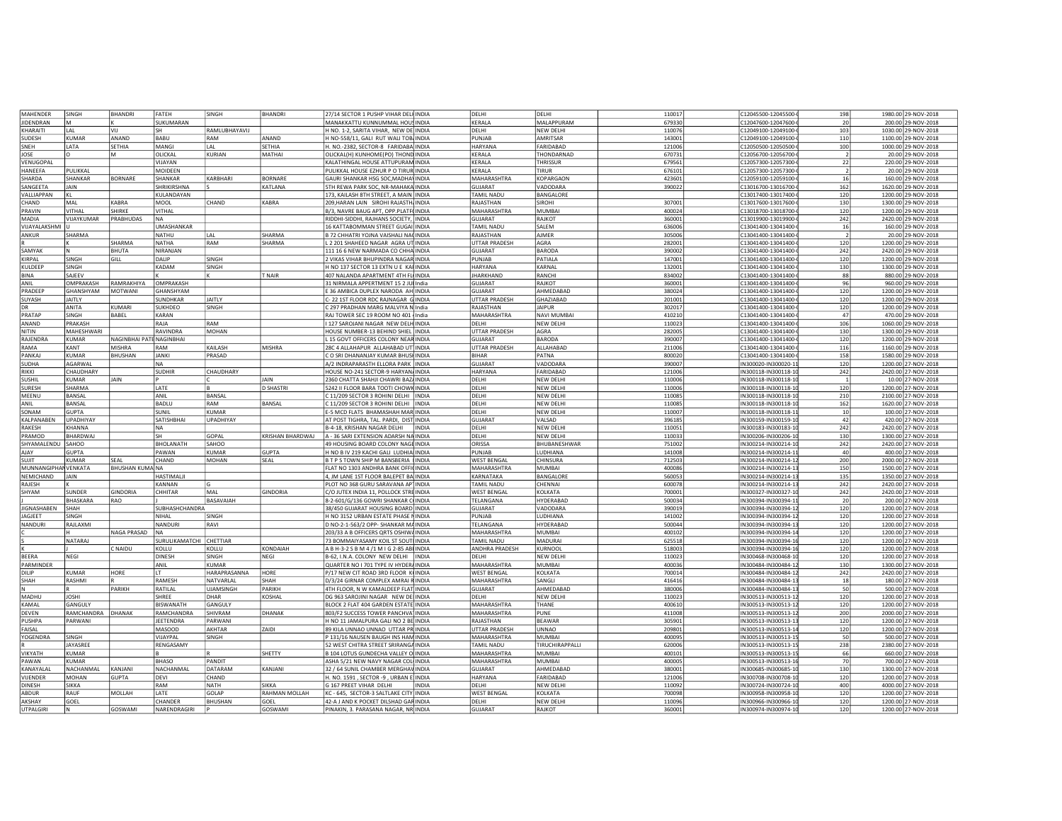| MAHENDEF                   | SINGH                | <b>BHANDRI</b>      | FATEH                   | SINGH                    | <b>BHANDR</b>          | 27/14 SECTOR 1 PUSHP VIHAR DELI INDIA                                         |              | DELHI                   | DELHI              | 110017           | C12045500-12045500-                         | 198            | 1980.00 29-NOV-2018                        |
|----------------------------|----------------------|---------------------|-------------------------|--------------------------|------------------------|-------------------------------------------------------------------------------|--------------|-------------------------|--------------------|------------------|---------------------------------------------|----------------|--------------------------------------------|
| <b>IIDENDRAN</b>           | l M                  |                     | SUKUMARAN               |                          |                        | MANAKKATTU KUNNUMMAL HOUSINDIA                                                |              | KERALA                  | <b>MAI APPURAM</b> | 679330           | C12047600-12047600-                         | 20             | 200.00 29-NOV-2018                         |
| KHARAITI                   | LAL                  | VIJ                 | SH                      | RAMLUBHAYAVIJ            |                        | H NO. 1-2, SARITA VIHAR, NEW DE INDIA                                         |              | DELHI                   | NEW DELHI          | 110076           | C12049100-12049100-                         | 103            | 1030.00 29-NOV-2018                        |
| SUDESH                     | KUMAR                | ANAND               | BABU                    | RAM                      | ANAND                  | H NO-558/11, GALI RUT WALI TOB. INDIA                                         |              | PUNJAB                  | <b>AMRITSAR</b>    | 143001           | C12049100-12049100                          | 110            | 1100.00 29-NOV-2018                        |
| <b>SNFH</b>                | <b>ATA</b>           | SETHIA              | MANGI                   | I AI                     | SETHIA                 | H. NO.-2382, SECTOR-8 FARIDABA INDIA                                          |              | HARYANA                 | FARIDARAD          | 121006           | C12050500-12050500-                         | 100            | 1000.00 29-NOV-2018                        |
| JOSE                       |                      | M                   | OLICKAL                 | KURIAN                   | MATHAI                 | OLICKAL(H) KUNHOME(PO) THOND INDIA                                            |              | KERALA                  | <b>THONDARNAC</b>  | 670731           | C12056700-12056700-                         | 2              | 20.00 29-NOV-2018                          |
| VENUGOPAL                  |                      |                     | VIJAYAN                 |                          |                        | KALATHINGAL HOUSE ATTUPURAM INDIA                                             |              | KERALA                  | THRISSUR           | 679561           | C12057300-12057300-                         | 22             | 220.00 29-NOV-2018                         |
| HANEEFA                    | PULIKKAI             |                     | MOIDEEN                 |                          |                        | PULIKKAL HOUSE EZHUR P O TIRURINDIA                                           |              | KERALA                  | TIRUR              | 676101           | C12057300-12057300                          | $\mathcal{P}$  | 20.00 29-NOV-2018                          |
| SHARDA                     | <b>HANKAR</b>        | <b>BORNARE</b>      | SHANKAR                 | KARBHARI                 | BORNARE                | GAURI SHANKAR HSG SOC, MADHA\ INDIA                                           |              | MAHARASHTRA             | KOPARGAON          | 423601           | C12059100-12059100-                         | 16             | 160.00 29-NOV-2018                         |
| SANGEETA                   | <b>JAIN</b>          |                     | SHRIKIRSHNA             |                          | KATLANA                | 5TH REWA PARK SOC. NR-MAHAKA INDIA                                            |              | GUJARAT                 | VADODARA           | 390022           | C13016700-13016700-                         | 162            | 1620.00 29-NOV-2018                        |
| VALLIAPPAN                 |                      |                     | KULANDAYAN              |                          |                        | 173. KAILASH 8TH STREET, A MAIN INDIA                                         |              | AMIL NADU               | <b>BANGALORI</b>   |                  | C13017400-13017400                          |                |                                            |
|                            | ĸг                   |                     |                         |                          |                        |                                                                               |              |                         |                    |                  |                                             | 120            | 1200.00 29-NOV-2018                        |
| CHAND                      | MAI                  | KABRA               | <b>MOOI</b>             | CHAND                    | KABRA                  | 209.HARAN LAIN SIROHI RAJASTH INDIA                                           |              | RAJASTHAN               | <b>SIROHI</b>      | 307001           | C13017600-13017600                          | 130            | 1300.00 29-NOV-2018                        |
| PRAVIN                     | <b>/ITHAL</b>        | SHIRKE              | VITHAL                  |                          |                        | B/3, NAVRE BAUG APT, OPP, PLATF INDIA                                         |              | MAHARASHTRA             | MUMBAI             | 400024           | C13018700-13018700                          | 120            | 1200.00 29-NOV-2018                        |
| <b>MADIA</b>               | VIJAYKUMAR           | PRABHUDAS           | <b>NA</b>               |                          |                        | RIDDHI-SIDDHI, RAJHANS SOCIETY, INDIA                                         |              | GUJARAT                 | RAJKOT             | 360001           | C13019900-13019900                          | 242            | 2420.00 29-NOV-2018                        |
| <b>VIIAYAI AKSHMI</b>      |                      |                     | UMASHANKAR              |                          |                        | 16 KATTABOMMAN STREET GUGAILINDIA                                             |              | AMIL NADU               | SAIFM              | 636006           | C13041400-13041400                          | 16             | 160.00 29-NOV-2018                         |
| ANKUR                      | SHARMA               |                     | NATHU                   | I AI                     | SHARMA                 | B 72 CHHATRI YOJNA VAISHALI NA(INDIA                                          |              | RAJASTHAN               | <b>NJMER</b>       | 305006           | C13041400-13041400-                         | $\overline{2}$ | 20.00 29-NOV-2018                          |
|                            |                      | SHARMA              | <b>NATHA</b>            | RAM                      | SHARMA                 | . 2 201 SHAHEED NAGAR AGRA UTINDIA                                            |              | UTTAR PRADESH           | AGRA               | 282001           | C13041400-13041400-                         | 120            | 1200.00 29-NOV-2018                        |
| SAMYAK                     |                      | BHUTA               | NIRANJAN                |                          |                        | 111 16 6 NEW NARMADA CO CHHAINDIA                                             |              | GUJARAT                 | BARODA             | 390002           | C13041400-13041400-                         | 242            | 2420.00 29-NOV-2018                        |
| KIRPAL                     | SINGH                | GILL                | DALIP                   | SINGH                    |                        | 2 VIKAS VIHAR BHUPINDRA NAGAR INDIA                                           |              | PUNJAB                  | PATIALA            | 147001           | C13041400-13041400-                         | 120            | 1200.00 29-NOV-2018                        |
| KULDEEP                    | SINGH                |                     | KADAM                   | SINGH                    |                        | H NO 137 SECTOR 13 EXTN U E KAI INDIA                                         |              | HARYANA                 | KARNAL             | 132001           | C13041400-13041400-                         | 130            | 1300.00 29-NOV-2018                        |
| <b>BINA</b>                | SAJEEV               |                     |                         |                          | NAIR <sup></sup>       | 407 NALANDA APARTMENT 4TH FL INDIA                                            |              | <b>IHARKHAND</b>        | RANCHI             | 834002           | C13041400-13041400-                         | 88             |                                            |
|                            |                      |                     |                         |                          |                        |                                                                               |              |                         |                    |                  |                                             |                | 880.00 29-NOV-2018                         |
| ANIL                       | <b>OMPRAKASH</b>     | RAMRAKHIYA          | OMPRAKASH               |                          |                        | 31 NIRMALA APPERTMENT 15 2 JUI India                                          |              | GUJARAT                 | RAJKOT             | 360001           | C13041400-13041400-                         | 96             | 960.00 29-NOV-2018                         |
| PRADEEP                    | <b>GHANSHYAM</b>     | MOTWANI             | GHANSHYAM               |                          |                        | E 36 AMBICA DUPLEX NARODA AH INDIA                                            |              | GUJARAT                 | AHMEDABAD          | 380024           | C13041400-13041400-                         | 120            | 1200.00 29-NOV-2018                        |
| SUYASH                     | <b>JAITLY</b>        |                     | SUNDHKAR                | <b>JAITLY</b>            |                        | C-22 1ST FLOOR RDC RAJNAGAR GINDIA                                            |              | UTTAR PRADESH           | GHAZIABAD          | 201001           | C13041400-13041400-                         | 120            | 1200.00 29-NOV-2018                        |
| DR                         | ANITA                | <b>CUMARI</b>       | SUKHDEO                 | SINGH                    |                        | C 297 PRADHAN MARG MALVIYA N India                                            |              | RAJASTHAN               | <b>IAIPUR</b>      | 302017           | C13041400-13041400-                         | 120            | 1200.00 29-NOV-2018                        |
| PRATAP                     | SINGH                | <b>BABEL</b>        | KARAN                   |                          |                        | RAJ TOWER SEC 19 ROOM NO 401 India                                            |              | MAHARASHTRA             | NAVI MUMBAI        | 410210           | C13041400-13041400-                         | 47             | 470.00 29-NOV-2018                         |
| ANAND                      | PRAKASH              |                     | RAJA                    | RAM                      |                        | 127 SAROJANI NAGAR NEW DELH INDIA                                             |              | DELHI                   | NEW DELHI          | 110023           | C13041400-13041400-                         | 106            | 1060.00 29-NOV-2018                        |
| NITIN                      | MAHESHWARI           |                     | RAVINDRA                | MOHAN                    |                        | HOUSE NUMBER-13 BEHIND SHIEL INDIA                                            |              | UTTAR PRADESH           | AGRA               | 282005           | C13041400-13041400-                         | 130            | 1300.00 29-NOV-2018                        |
| <b>RAJENDRA</b>            | KUMAR                | <b>JAGINBHAI PA</b> | <b>ENAGINBHAI</b>       |                          |                        | 15 GOVT OFFICERS COLONY NEAR INDIA                                            |              | GUJARAT                 | BARODA             | 390007           | C13041400-13041400-                         | 120            | 1200.00 29-NOV-2018                        |
| RAMA                       | KANT                 | <b>VISHRA</b>       | RAM                     | KAILASH                  | MISHRA                 | 28C 4 ALLAHAPUR ALLAHABAD UT INDIA                                            |              | UTTAR PRADESH           | ALLAHABAD          | 211006           | C13041400-13041400-                         | 116            | 1160.00 29-NOV-2018                        |
| PANKAJ                     | <b>UMAR</b>          | <b>BHUSHAN</b>      | <b>JANKI</b>            | PRASAD                   |                        | C O SRI DHANANJAY KUMAR BHUSI INDIA                                           |              | <b>BIHAR</b>            | PATNA              | 800020           | C13041400-13041400-                         | 158            | 1580.00 29-NOV-2018                        |
|                            | <b>AGARWA</b>        |                     |                         |                          |                        |                                                                               |              |                         |                    |                  |                                             |                |                                            |
| SUDHA                      |                      |                     | NA                      |                          |                        | A/2 INDRAPARASTH ELLORA PARK INDIA                                            |              | GUJARAT                 | VADODARA           | 390007           | IN300020-IN300020-1                         | 120            | 1200.00 27-NOV-2018                        |
| RIKKI                      | <b>HAUDHARY</b>      |                     | <b>SUDHIR</b>           | CHAUDHARY                |                        | HOUSE NO-241 SECTOR-9 HARYAN INDIA                                            |              | HARYANA                 | FARIDABAD          | 121006           | IN300118-IN300118-1                         | 242            | 2420.00 27-NOV-2018                        |
| SUSHIL                     | <b>IJMAR</b>         | <b>JAIN</b>         |                         |                          | AIN                    | 2360 CHATTA SHAHJI CHAWRI BAZ INDIA                                           |              | DELHI                   | NEW DELHI          | 110006           | IN300118-IN300118-1                         |                | 10.00 27-NOV-2018                          |
| <b>SURESH</b>              | SHARMA               |                     | LATE                    |                          | D SHASTRI              | 5242 II FLOOR BARA TOOTI CHOWK INDIA                                          |              | DELHI                   | NEW DELHI          | 110006           | IN300118-IN300118-1                         | 120            | 1200.00 27-NOV-2018                        |
| MEENU                      | BANSAL               |                     | ANIL                    | BANSAL                   |                        | C 11/209 SECTOR 3 ROHINI DELHI INDIA                                          |              | DELHI                   | NEW DELHI          | 110085           | IN300118-IN300118-1                         | 210            | 2100.00 27-NOV-2018                        |
| ANII                       | BANSAL               |                     | <b>BADLU</b>            | RAM                      | BANSAL                 | C 11/209 SECTOR 3 ROHINI DELHI  INDIA                                         |              | DELHI                   | NEW DELHI          | 110085           | IN300118-IN300118-1                         | 162            | 1620.00 27-NOV-2018                        |
| SONAM                      | <b>GUPTA</b>         |                     | SUNIL                   | <b>KUMAR</b>             |                        | E-5 MCD FLATS BHAMASHAH MAR INDIA                                             |              | DELHI                   | NEW DELHI          | 11000            | IN300118-IN300118-1                         | 10             | 100.00 27-NOV-2018                         |
| KALPANABEN                 | <b>UPADHIYAY</b>     |                     | SATISHBHA               | <b>UPADHIYAY</b>         |                        | AT POST TIGHRA, TAL. PARDI, DIST INDIA                                        |              | GUJARAT                 | VALSAD             | 396185           | IN300159-IN300159-1                         | 42             | 420.00 27-NOV-2018                         |
| RAKESH                     | KHANNA               |                     | <b>NA</b>               |                          |                        | B-4-18, KRISHAN NAGAR DELHI                                                   | <b>INDIA</b> | DELHI                   | NEW DELHI          | 110051           | IN300183-IN300183-1                         | 242            | 2420.00 27-NOV-2018                        |
| PRAMOD                     | <b>BHARDWA</b>       |                     | SH                      | GOPAL                    | KRISHAN BHARDWAJ       | A - 36 SARI EXTENSION ADARSH NA INDIA                                         |              | DELHI                   | <b>NEW DELHI</b>   | 110033           | IN300206-IN300206-1                         | 130            | 1300.00 27-NOV-2018                        |
| SHYAMALENDU                | SAHOO                |                     | BHOLANATH               | SAHOO                    |                        | 49 HOUSING BOARD COLONY NAGE INDIA                                            |              | ORISSA                  | BHUBANESHWAR       | 751002           | IN300214-IN300214-1                         | 242            | 2420.00 27-NOV-2018                        |
|                            |                      |                     |                         |                          |                        |                                                                               |              |                         |                    |                  |                                             |                |                                            |
| AJAY                       | <b>GUPTA</b>         |                     |                         | KUMAR                    |                        |                                                                               |              |                         |                    |                  |                                             |                |                                            |
| SUJIT                      |                      |                     | PAWAN                   |                          | <b>GUPTA</b>           | H NO B IV 219 KACHI GALI LUDHIA INDIA                                         |              | PUNJAB                  | LUDHIANA           | 141008           | IN300214-IN300214-1                         | 40             | 400.00 27-NOV-2018                         |
|                            | <b>UMAR</b>          | EAL                 | CHAND                   | MOHAN                    | SEAL                   | B T P S TOWN SHIP M BANSBERIA INDIA                                           |              | WEST BENGAL             | CHINSURA           | 712503           | IN300214-IN300214-1                         | 200            | 2000.00 27-NOV-2018                        |
|                            | MUNNANGIPHAN VENKATA | BHUSHAN KUMA NA     |                         |                          |                        | FLAT NO 1303 ANDHRA BANK OFFICINDIA                                           |              | MAHARASHTRA             | MUMBAI             | 400086           | IN300214-IN300214-1                         | 150            | 1500.00 27-NOV-2018                        |
| NEMICHAND                  | JAIN                 |                     | HASTIMALJI              |                          |                        | 4, JM LANE 1ST FLOOR BALEPET BA INDIA                                         |              | KARNATAKA               | BANGALORE          | 560053           | IN300214-IN300214-1                         | 135            | 1350.00 27-NOV-2018                        |
| RAJESH                     |                      |                     | KANNAN                  |                          |                        | PLOT NO 368 GURU SARAVANA AP' INDIA                                           |              | <b>TAMIL NADU</b>       | CHENNAI            | 600078           | IN300214-IN300214-1                         | 242            | 2420.00 27-NOV-2018                        |
| SHYAM                      | SUNDER               | GINDORIA            | CHHITAR                 | MAL                      | GINDORIA               | C/O JUTEX INDIA 11, POLLOCK STRE INDIA                                        |              | <b>WEST BENGAL</b>      | KOLKATA            | 700001           | IN300327-IN300327-1                         | 242            | 2420.00 27-NOV-2018                        |
|                            | BHASKARA             | RAO                 |                         | BASAVAIAH                |                        | 8-2-601/G/136 GOWRI SHANKAR CINDIA                                            |              | TELANGANA               | HYDERABAD          | 500034           | IN300394-IN300394-1                         | 20             | 200.00 27-NOV-2018                         |
| <b>JIGNASHABEN</b>         | SHAH                 |                     | SUBHASHCHANDRA          |                          |                        | 38/450 GUJARAT HOUSING BOARD INDIA                                            |              | <b>GUJARAT</b>          | VADODARA           | 390019           | IN300394-IN300394-1                         | 120            | 1200.00 27-NOV-2018                        |
|                            |                      |                     | NIHAL                   |                          |                        |                                                                               |              |                         |                    |                  |                                             |                |                                            |
| JAGJEET                    | SINGH                |                     |                         | SINGH                    |                        | H NO 3152 URBAN ESTATE PHASE NINDIA                                           |              | PUNJAB                  | LUDHIANA           | 141002           | IN300394-IN300394-1                         | 120            | 1200.00 27-NOV-2018                        |
| <b>NANDURI</b>             | RAJLAXMI             |                     | NANDURI                 | RAVI                     |                        | D NO-2-1-563/2 OPP- SHANKAR MAINDIA                                           |              | TELANGANA               | HYDERABAD          | 500044           | IN300394-IN300394-1                         | 120            | 1200.00 27-NOV-2018                        |
|                            |                      | NAGA PRASAD         | <b>NA</b>               |                          |                        | 203/33 A B OFFICERS ORTS OSHIWAINDIA                                          |              | MAHARASHTRA             | <b>MUMBAI</b>      | 400102           | IN300394-IN300394-1                         | 120            | 1200.00 27-NOV-2018                        |
|                            | NATARAI              |                     | SURULIKAMATCHI CHETTIAR |                          |                        | 73 BOMMAIYASAMY KOIL ST SOUT INDIA                                            |              | <b>TAMIL NADU</b>       | MADURAI            | 625518           | IN300394-IN300394-1                         | 120            | 1200.00 27-NOV-2018                        |
|                            |                      | C NAIDU             | KOLLU                   | KOLLU                    | KONDAIAH               | A B H-3-2 S B M 4 /1 M I G 2-85 ABI INDIA                                     |              | ANDHRA PRADESH          | KURNOOL            | 518003           | IN300394-IN300394-1                         | 120            | 1200.00 27-NOV-2018                        |
| <b>BEERA</b>               | NEGI                 |                     | <b>DINESH</b>           | SINGH                    | NEGI                   | B-62, I.N.A. COLONY NEW DELHI  INDIA                                          |              | DELHI                   | NEW DELHI          | 110023           | IN300468-IN300468-1                         | 120            | 1200.00 27-NOV-2018                        |
| PARMINDER                  |                      |                     | ANIL                    | KUMAR                    |                        | QUARTER NO I 701 TYPE IV HYDER/ INDIA                                         |              | MAHARASHTRA             | MUMBAI             | 400036           | IN300484-IN300484-1                         | 130            | 1300.00 27-NOV-2018                        |
| DILIP                      | <b>KUMAR</b>         | HORE                | IT                      | HARAPRASANNA             | HORE                   | P/17 NEW CIT ROAD 3RD FLOOR KINDIA                                            |              | <b>WEST BENGAL</b>      | KOLKATA            | 700014           | IN300484-IN300484-1                         | 242            | 2420.00 27-NOV-2018                        |
| SHAH                       | RASHMI               |                     | RAMESH                  | NATVARLAI                | SHAH                   | D/3/24 GIRNAR COMPLEX AMRAI R INDIA                                           |              | MAHARASHTRA             | SANGLI             | 416416           | IN300484-IN300484-1                         | 18             | 180.00 27-NOV-2018                         |
|                            |                      | PARIKH              | RATILAL                 |                          | PARIKH                 | 4TH FLOOR, N W KAMALDEEP FLAT INDIA                                           |              | <b>GUJARAT</b>          | AHMEDABAD          | 380006           | IN300484-IN300484-1                         | 50             | 500.00 27-NOV-2018                         |
| MADHU                      | <b>JOSHI</b>         |                     | SHREE                   | <b>UJAMSINGH</b><br>DHAR | KOSHAL                 | DG 963 SAROJINI NAGAR NEW DE INDIA                                            |              | DELHI                   |                    | 110023           | IN300513-IN300513-1                         | 120            | 1200.00 27-NOV-2018                        |
| KAMAL                      | GANGULY              |                     |                         |                          |                        |                                                                               |              |                         | NEW DELHI          |                  |                                             |                |                                            |
|                            |                      |                     | <b>BISWANATH</b>        | GANGULY                  |                        | BLOCK 2 FLAT 404 GARDEN ESTATE INDIA                                          |              | MAHARASHTRA             | THANE              | 400610           | IN300513-IN300513-1                         | 120            | 1200.00 27-NOV-2018                        |
| DEVEN                      | RAMCHANDRA DHANAK    |                     | RAMCHANDRA              | SHIVRAM                  | DHANAK                 | 803/F2 SUCCESS TOWER PANCHVA   INDIA                                          |              | MAHARASHTRA             | PUNE               | 41100            | IN300513-IN300513-1                         | 200            | 2000.00 27-NOV-2018                        |
| PUSHPA                     | PARWANI              |                     | JEETENDRA               | PARWANI                  |                        | H NO 11 JAMALPURA GALI NO 2 BE INDIA                                          |              | RAJASTHAN               | <b>BEAWAR</b>      | 305901           | IN300513-IN300513-1                         | 120            | 1200.00 27-NOV-2018                        |
| FAISAL                     |                      |                     | <b>MASOOD</b>           | AKHTAR                   | ZAIDI                  | 89 KILA UNNAO UNNAO UTTAR PRINDIA                                             |              | UTTAR PRADESH           | UNNAO              | 20980            | IN300513-IN300513-1                         | 120            | 1200.00 27-NOV-2018                        |
| YOGENDRA                   | SINGH                |                     | VIJAYPAL                | SINGH                    |                        | P 131/16 NAUSEN BAUGH INS HAM INDIA                                           |              | MAHARASHTRA             | <b>MUMBAI</b>      | 40009            | IN300513-IN300513-1                         | 50             | 500.00 27-NOV-2018                         |
|                            | AYASREE              |                     | RENGASAMY               |                          |                        | 52 WEST CHITRA STREET SRIRANGA INDIA                                          |              | <b>TAMIL NADU</b>       | TIRUCHIRAPPALLI    | 620006           | IN300513-IN300513-1                         | 238            | 2380.00 27-NOV-2018                        |
| VIKYATH                    | KUMAR                |                     |                         |                          | SHETTY                 | B 104 LOTUS GUNDECHA VALLEY O INDIA                                           |              | MAHARASHTRA             | MUMBAI             | 40010            | IN300513-IN300513-1                         | 66             | 660.00 27-NOV-2018                         |
| <b>AWAN</b>                | KUMAR                |                     | BHASO                   | PANDIT                   |                        | ASHA 5/21 NEW NAVY NAGAR COL INDIA                                            |              | MAHARASHTRA             | MUMBAI             | 400005           | IN300513-IN300513-1                         | 70             | 700.00 27-NOV-2018                         |
| <b>CANAYALA</b>            | NACHANMAL            | KANJANI             | NACHANMAL               | DATARAM                  | KANJANI                | 32 / 64 SUNIL CHAMBER MERGHAV INDIA                                           |              | GUJARAT                 | AHMEDABAD          | 380001           | IN300685-IN300685-1                         | 130            | 1300.00 27-NOV-2018                        |
| <b>IJENDER</b>             | MOHAN                | <b>GUPTA</b>        | DEVI                    | CHAND                    |                        | H. NO. 1591 , SECTOR -9 , URBAN E INDIA                                       |              | HARYANA                 | FARIDARAD          | 121006           | IN300708-IN300708-1                         | 120            | 1200.00 27-NOV-2018                        |
| <b>JINESH</b>              | SIKKA                |                     | RAM                     | NATH                     | SIKKA                  | G 167 PREET VIHAR DELHI                                                       | INDIA        | DELHI                   | NEW DELHI          | 110092           | IN300724-IN300724-1                         | 400            | 4000.00 27-NOV-2018                        |
| BDUR                       | RAUF                 |                     | LATE                    | GOLAP                    | <b>RAHMAN MOLLAH</b>   |                                                                               |              |                         | KOLKATA            |                  |                                             |                |                                            |
|                            |                      | MOLLAH              |                         |                          |                        | KC - 645, SECTOR-3 SALTLAKE CITY INDIA                                        |              | <b>WEST BENGAL</b>      |                    | 700098           | IN300958-IN300958-1                         | 120            | 1200.00 27-NOV-2018                        |
| AKSHAY<br><b>LITPALGIR</b> | GOEL                 | GOSWAMI             | CHANDER<br>NARENDRAGIRI | <b>BHUSHAN</b>           | GOFI<br><b>GOSWAMI</b> | 42-A J AND K POCKET DILSHAD GAR INDIA<br>PINAKIN, 3. PARASANA NAGAR, NR INDIA |              | <b>DELHI</b><br>GUJARAT | NEW DELH<br>RAJKOT | 110096<br>360001 | IN300966-IN300966-1<br>IN300974-IN300974-10 | 120<br>120     | 1200.00 27-NOV-2018<br>1200.00 27-NOV-2018 |